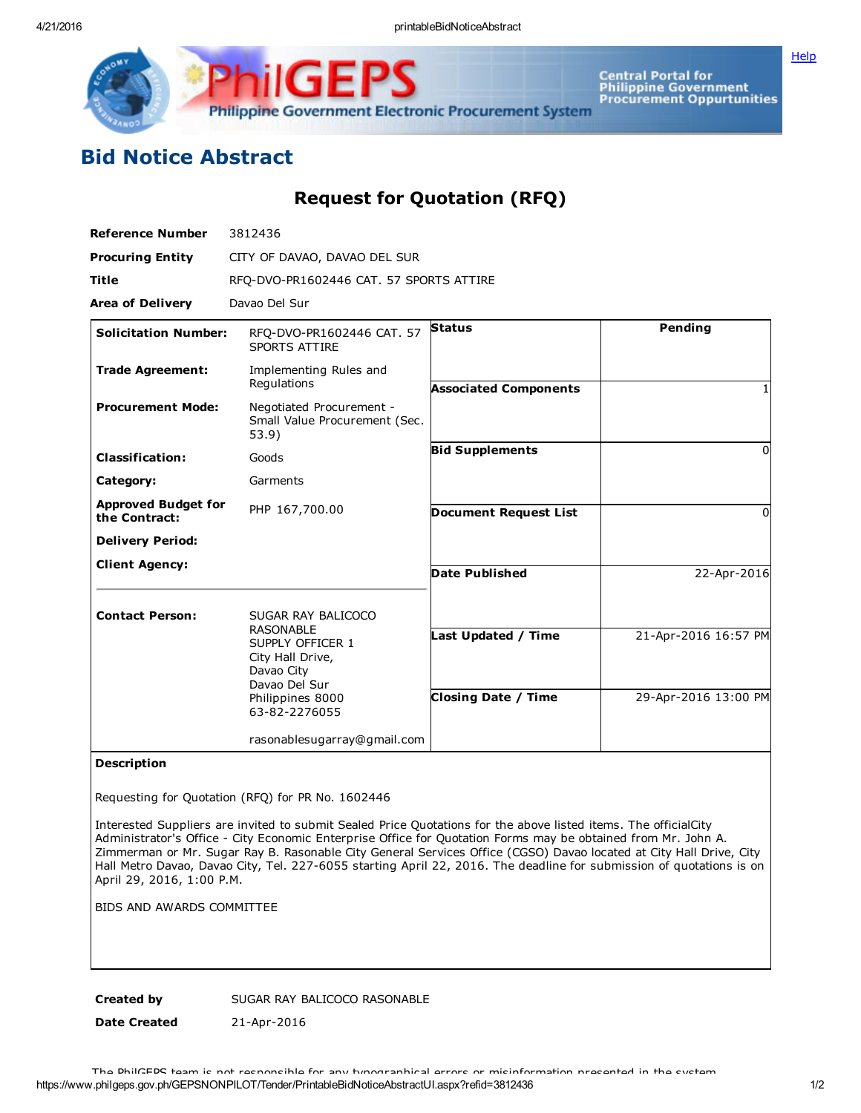**[Help](javascript:void(window.open()** 



Central Portal for<br>Philippine Government<br>Procurement Oppurtunities

## Bid Notice Abstract

## Request for Quotation (RFQ)

| <b>Reference Number</b>                     | 3812436                                                                                                                                            |                                                   |                                              |
|---------------------------------------------|----------------------------------------------------------------------------------------------------------------------------------------------------|---------------------------------------------------|----------------------------------------------|
| <b>Procuring Entity</b>                     | CITY OF DAVAO, DAVAO DEL SUR                                                                                                                       |                                                   |                                              |
| <b>Title</b>                                | RFQ-DVO-PR1602446 CAT. 57 SPORTS ATTIRE                                                                                                            |                                                   |                                              |
| <b>Area of Delivery</b>                     | Davao Del Sur                                                                                                                                      |                                                   |                                              |
| <b>Solicitation Number:</b>                 | RFQ-DVO-PR1602446 CAT. 57<br><b>SPORTS ATTIRE</b>                                                                                                  | <b>Status</b>                                     | Pending                                      |
| <b>Trade Agreement:</b>                     | Implementing Rules and<br>Regulations                                                                                                              | <b>Associated Components</b>                      |                                              |
| <b>Procurement Mode:</b>                    | Negotiated Procurement -<br>Small Value Procurement (Sec.<br>53.9)                                                                                 |                                                   |                                              |
| <b>Classification:</b>                      | Goods                                                                                                                                              | <b>Bid Supplements</b>                            | $\Omega$                                     |
| Category:                                   | Garments                                                                                                                                           |                                                   |                                              |
| <b>Approved Budget for</b><br>the Contract: | PHP 167,700.00                                                                                                                                     | <b>Document Request List</b>                      | $\Omega$                                     |
| <b>Delivery Period:</b>                     |                                                                                                                                                    |                                                   |                                              |
| <b>Client Agency:</b>                       |                                                                                                                                                    | Date Published                                    | 22-Apr-2016                                  |
| <b>Contact Person:</b>                      | SUGAR RAY BALICOCO<br><b>RASONABLE</b><br>SUPPLY OFFICER 1<br>City Hall Drive,<br>Davao City<br>Davao Del Sur<br>Philippines 8000<br>63-82-2276055 | Last Updated / Time<br><b>Closing Date / Time</b> | 21-Apr-2016 16:57 PM<br>29-Apr-2016 13:00 PM |
|                                             | rasonablesugarray@gmail.com                                                                                                                        |                                                   |                                              |

## Description

Requesting for Quotation (RFQ) for PR No. 1602446

Interested Suppliers are invited to submit Sealed Price Quotations for the above listed items. The officialCity Administrator's Office City Economic Enterprise Office for Quotation Forms may be obtained from Mr. John A. Zimmerman or Mr. Sugar Ray B. Rasonable City General Services Office (CGSO) Davao located at City Hall Drive, City Hall Metro Davao, Davao City, Tel. 2276055 starting April 22, 2016. The deadline for submission of quotations is on April 29, 2016, 1:00 P.M.

BIDS AND AWARDS COMMITTEE

Created by SUGAR RAY BALICOCO RASONABLE

Date Created 21-Apr-2016